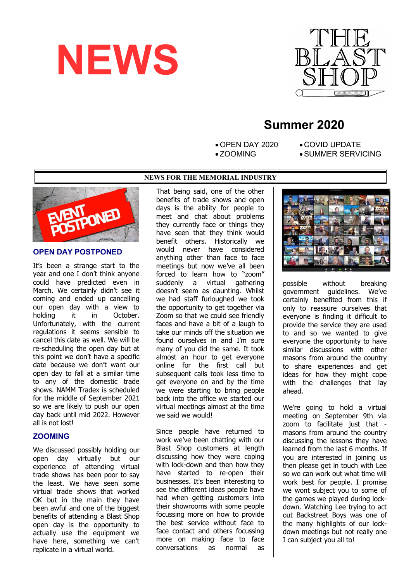



# **Summer 2020**

 OPEN DAY 2020 ZOOMING

- COVID UPDATE
- SUMMER SERVICING





## **OPEN DAY POSTPONED**

It's been a strange start to the year and one I don't think anyone could have predicted even in March. We certainly didn't see it coming and ended up cancelling our open day with a view to holding it in October. Unfortunately, with the current regulations it seems sensible to cancel this date as well. We will be re-scheduling the open day but at this point we don't have a specific date because we don't want our open day to fall at a similar time to any of the domestic trade shows. NAMM Tradex is scheduled for the middle of September 2021 so we are likely to push our open day back until mid 2022. However all is not lost!

#### **ZOOMING**

We discussed possibly holding our open day virtually but our experience of attending virtual trade shows has been poor to say the least. We have seen some virtual trade shows that worked OK but in the main they have been awful and one of the biggest benefits of attending a Blast Shop open day is the opportunity to actually use the equipment we have here, something we can't replicate in a virtual world.

That being said, one of the other benefits of trade shows and open days is the ability for people to meet and chat about problems they currently face or things they have seen that they think would benefit others. Historically we would never have considered anything other than face to face meetings but now we've all been forced to learn how to "zoom" suddenly a virtual gathering doesn't seem as daunting. Whilst we had staff furloughed we took the opportunity to get together via Zoom so that we could see friendly faces and have a bit of a laugh to take our minds off the situation we found ourselves in and I'm sure many of you did the same. It took almost an hour to get everyone online for the first call but subsequent calls took less time to get everyone on and by the time we were starting to bring people back into the office we started our virtual meetings almost at the time we said we would!

Since people have returned to work we've been chatting with our Blast Shop customers at length discussing how they were coping with lock-down and then how they have started to re-open their businesses. It's been interesting to see the different ideas people have had when getting customers into their showrooms with some people focussing more on how to provide the best service without face to face contact and others focussing more on making face to face conversations as normal as



possible without breaking government guidelines. We've certainly benefited from this if only to reassure ourselves that everyone is finding it difficult to provide the service they are used to and so we wanted to give everyone the opportunity to have similar discussions with other masons from around the country to share experiences and get ideas for how they might cope with the challenges that lay ahead.

We're going to hold a virtual meeting on September 9th via zoom to facilitate just that masons from around the country discussing the lessons they have learned from the last 6 months. If you are interested in joining us then please get in touch with Lee so we can work out what time will work best for people. I promise we wont subject you to some of the games we played during lockdown. Watching Lee trying to act out Backstreet Boys was one of the many highlights of our lockdown meetings but not really one I can subject you all to!